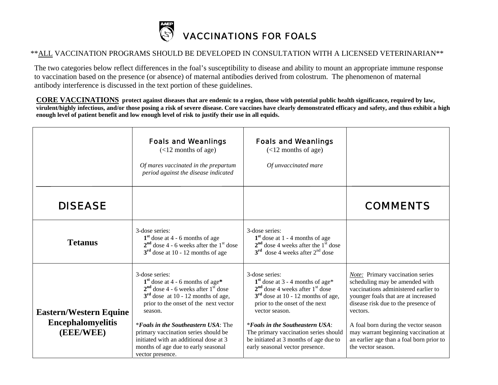

## \*\*ALL VACCINATION PROGRAMS SHOULD BE DEVELOPED IN CONSULTATION WITH A LICENSED VETERINARIAN\*\*

 The two categories below reflect differences in the foal's susceptibility to disease and ability to mount an appropriate immune response to vaccination based on the presence (or absence) of maternal antibodies derived from colostrum. The phenomenon of maternal antibody interference is discussed in the text portion of these guidelines.

**CORE VACCINATIONS protect against diseases that are endemic to a region, those with potential public health significance, required by law, virulent/highly infectious, and/or those posing a risk of severe disease. Core vaccines have clearly demonstrated efficacy and safety, and thus exhibit a high enough level of patient benefit and low enough level of risk to justify their use in all equids.** 

|                                                                        | <b>Foals and Weanlings</b><br>$(<12$ months of age)<br>Of mares vaccinated in the prepartum<br>period against the disease indicated                                                                                                                                                                                                                                                    | <b>Foals and Weanlings</b><br>$(<12$ months of age)<br>Of unvaccinated mare                                                                                                                                                                                                                                                                             |                                                                                                                                                                                                                                                                                                                                                               |
|------------------------------------------------------------------------|----------------------------------------------------------------------------------------------------------------------------------------------------------------------------------------------------------------------------------------------------------------------------------------------------------------------------------------------------------------------------------------|---------------------------------------------------------------------------------------------------------------------------------------------------------------------------------------------------------------------------------------------------------------------------------------------------------------------------------------------------------|---------------------------------------------------------------------------------------------------------------------------------------------------------------------------------------------------------------------------------------------------------------------------------------------------------------------------------------------------------------|
| <b>DISEASE</b>                                                         |                                                                                                                                                                                                                                                                                                                                                                                        |                                                                                                                                                                                                                                                                                                                                                         | <b>COMMENTS</b>                                                                                                                                                                                                                                                                                                                                               |
| <b>Tetanus</b>                                                         | 3-dose series:<br>$1st$ dose at 4 - 6 months of age<br>$2nd$ dose 4 - 6 weeks after the $1st$ dose<br>$3rd$ dose at 10 - 12 months of age                                                                                                                                                                                                                                              | 3-dose series:<br>$1st$ dose at 1 - 4 months of age<br>$2nd$ dose 4 weeks after the $1st$ dose<br>$3rd$ dose 4 weeks after $2nd$ dose                                                                                                                                                                                                                   |                                                                                                                                                                                                                                                                                                                                                               |
| <b>Eastern/Western Equine</b><br><b>Encephalomyelitis</b><br>(EEE/WEE) | 3-dose series:<br>$1st$ dose at 4 - 6 months of age*<br>$2nd$ dose 4 - 6 weeks after $1st$ dose<br>$3rd$ dose at 10 - 12 months of age,<br>prior to the onset of the next vector<br>season.<br><i>*Foals in the Southeastern USA:</i> The<br>primary vaccination series should be<br>initiated with an additional dose at 3<br>months of age due to early seasonal<br>vector presence. | 3-dose series:<br>$1st$ dose at 3 - 4 months of age*<br>$2nd$ dose 4 weeks after $1st$ dose<br>$3rd$ dose at 10 - 12 months of age,<br>prior to the onset of the next<br>vector season.<br><i>*Foals in the Southeastern USA:</i><br>The primary vaccination series should<br>be initiated at 3 months of age due to<br>early seasonal vector presence. | <b>Note:</b> Primary vaccination series<br>scheduling may be amended with<br>vaccinations administered earlier to<br>younger foals that are at increased<br>disease risk due to the presence of<br>vectors.<br>A foal born during the vector season<br>may warrant beginning vaccination at<br>an earlier age than a foal born prior to<br>the vector season. |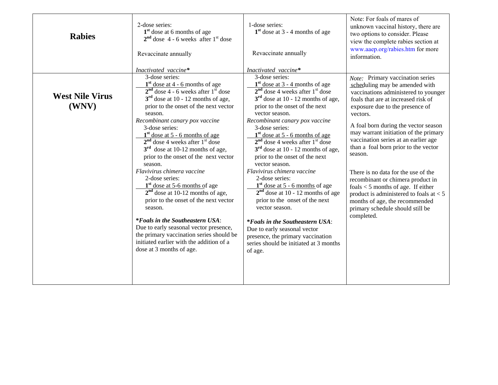| <b>Rabies</b>                   | 2-dose series:<br>1 <sup>st</sup> dose at 6 months of age<br>$2nd$ dose 4 - 6 weeks after $1st$ dose<br>Revaccinate annually                                                                                                                                                                                                                                                                                                                                                                                                                                                                                                                                                                                                                                                                                                      | 1-dose series:<br>$1st$ dose at 3 - 4 months of age<br>Revaccinate annually                                                                                                                                                                                                                                                                                                                                                                                                                                                                                                                                                                                                                                                                                            | Note: For foals of mares of<br>unknown vaccinal history, there are<br>two options to consider. Please<br>view the complete rabies section at<br>www.aaep.org/rabies.htm for more<br>information.                                                                                                                                                                                                                                                                                                                                                                                                                                  |
|---------------------------------|-----------------------------------------------------------------------------------------------------------------------------------------------------------------------------------------------------------------------------------------------------------------------------------------------------------------------------------------------------------------------------------------------------------------------------------------------------------------------------------------------------------------------------------------------------------------------------------------------------------------------------------------------------------------------------------------------------------------------------------------------------------------------------------------------------------------------------------|------------------------------------------------------------------------------------------------------------------------------------------------------------------------------------------------------------------------------------------------------------------------------------------------------------------------------------------------------------------------------------------------------------------------------------------------------------------------------------------------------------------------------------------------------------------------------------------------------------------------------------------------------------------------------------------------------------------------------------------------------------------------|-----------------------------------------------------------------------------------------------------------------------------------------------------------------------------------------------------------------------------------------------------------------------------------------------------------------------------------------------------------------------------------------------------------------------------------------------------------------------------------------------------------------------------------------------------------------------------------------------------------------------------------|
|                                 | Inactivated vaccine*                                                                                                                                                                                                                                                                                                                                                                                                                                                                                                                                                                                                                                                                                                                                                                                                              | Inactivated vaccine*                                                                                                                                                                                                                                                                                                                                                                                                                                                                                                                                                                                                                                                                                                                                                   |                                                                                                                                                                                                                                                                                                                                                                                                                                                                                                                                                                                                                                   |
| <b>West Nile Virus</b><br>(WNV) | 3-dose series:<br>$1st$ dose at 4 - 6 months of age<br>$2nd$ dose 4 - 6 weeks after $1st$ dose<br>$3rd$ dose at 10 - 12 months of age,<br>prior to the onset of the next vector<br>season.<br>Recombinant canary pox vaccine<br>3-dose series:<br>$\frac{1^{st}}{2^{nd}}$ dose at 5 - 6 months of age<br>$2^{nd}$ dose 4 weeks after $1^{st}$ dose<br>$3rd$ dose at 10-12 months of age,<br>prior to the onset of the next vector<br>season.<br>Flavivirus chimera vaccine<br>2-dose series:<br>$1st$ dose at 5-6 months of age<br>$2nd$ dose at 10-12 months of age,<br>prior to the onset of the next vector<br>season.<br><i>*Foals in the Southeastern USA:</i><br>Due to early seasonal vector presence,<br>the primary vaccination series should be<br>initiated earlier with the addition of a<br>dose at 3 months of age. | 3-dose series:<br>$1st$ dose at 3 - 4 months of age<br>$2nd$ dose 4 weeks after $1st$ dose<br>$3rd$ dose at 10 - 12 months of age,<br>prior to the onset of the next<br>vector season.<br>Recombinant canary pox vaccine<br>3-dose series:<br>$1st$ dose at 5 - 6 months of age<br>$2nd$ dose 4 weeks after $1st$ dose<br>$3rd$ dose at 10 - 12 months of age,<br>prior to the onset of the next<br>vector season.<br>Flavivirus chimera vaccine<br>2-dose series:<br>$1st$ dose at 5 - 6 months of age<br>$2nd$ dose at 10 - 12 months of age<br>prior to the onset of the next<br>vector season.<br><i>*Foals in the Southeastern USA:</i><br>Due to early seasonal vector<br>presence, the primary vaccination<br>series should be initiated at 3 months<br>of age. | Note: Primary vaccination series<br>scheduling may be amended with<br>vaccinations administered to younger<br>foals that are at increased risk of<br>exposure due to the presence of<br>vectors.<br>A foal born during the vector season<br>may warrant initiation of the primary<br>vaccination series at an earlier age<br>than a foal born prior to the vector<br>season.<br>There is no data for the use of the<br>recombinant or chimera product in<br>foals $<$ 5 months of age. If either<br>product is administered to foals at $< 5$<br>months of age, the recommended<br>primary schedule should still be<br>completed. |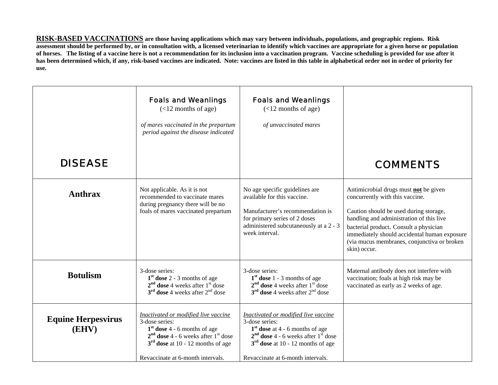**RISK-BASED VACCINATIONS are those having applications which may vary between individuals, populations, and geographic regions. Risk assessment should be performed by, or in consultation with, a licensed veterinarian to identify which vaccines are appropriate for a given horse or population of horses. The listing of a vaccine here is not a recommendation for its inclusion into a vaccination program. Vaccine scheduling is provided for use after it has been determined which, if any, risk-based vaccines are indicated. Note: vaccines are listed in this table in alphabetical order not in order of priority for use.** 

|                                    | <b>Foals and Weanlings</b><br>$(<12$ months of age)<br>of mares vaccinated in the prepartum<br>period against the disease indicated                                                                             | <b>Foals and Weanlings</b><br>$(<12$ months of age)<br>of unvaccinated mares                                                                                                                                       |                                                                                                                                                                                                                                                                                                                         |
|------------------------------------|-----------------------------------------------------------------------------------------------------------------------------------------------------------------------------------------------------------------|--------------------------------------------------------------------------------------------------------------------------------------------------------------------------------------------------------------------|-------------------------------------------------------------------------------------------------------------------------------------------------------------------------------------------------------------------------------------------------------------------------------------------------------------------------|
| <b>DISEASE</b>                     |                                                                                                                                                                                                                 |                                                                                                                                                                                                                    | <b>COMMENTS</b>                                                                                                                                                                                                                                                                                                         |
| <b>Anthrax</b>                     | Not applicable. As it is not<br>recommended to vaccinate mares<br>during pregnancy there will be no<br>foals of mares vaccinated prepartum                                                                      | No age specific guidelines are<br>available for this vaccine.<br>Manufacturer's recommendation is<br>for primary series of 2 doses<br>administered subcutaneously at a 2 - 3<br>week interval.                     | Antimicrobial drugs must not be given<br>concurrently with this vaccine.<br>Caution should be used during storage,<br>handling and administration of this live<br>bacterial product. Consult a physician<br>immediately should accidental human exposure<br>(via mucus membranes, conjunctiva or broken<br>skin) occur. |
| <b>Botulism</b>                    | 3-dose series:<br>$1st$ dose 2 - 3 months of age<br>$2nd$ dose 4 weeks after $1st$ dose<br>$3^{\text{rd}}$ dose 4 weeks after $2^{\text{nd}}$ dose                                                              | 3-dose series:<br>$1st$ dose 1 - 3 months of age<br>$2nd$ dose 4 weeks after $1st$ dose<br>$3rd$ dose 4 weeks after $2nd$ dose                                                                                     | Maternal antibody does not interfere with<br>vaccination; foals at high risk may be<br>vaccinated as early as 2 weeks of age.                                                                                                                                                                                           |
| <b>Equine Herpesvirus</b><br>(EHV) | Inactivated or modified live vaccine<br>3-dose series:<br>$1st$ dose 4 - 6 months of age<br>$2nd$ dose 4 - 6 weeks after $1st$ dose<br>$3rd$ dose at 10 - 12 months of age<br>Revaccinate at 6-month intervals. | Inactivated or modified live vaccine<br>3-dose series:<br>$1st$ dose at 4 - 6 months of age<br>$2nd$ dose 4 - 6 weeks after $1st$ dose<br>$3rd$ dose at 10 - 12 months of age<br>Revaccinate at 6-month intervals. |                                                                                                                                                                                                                                                                                                                         |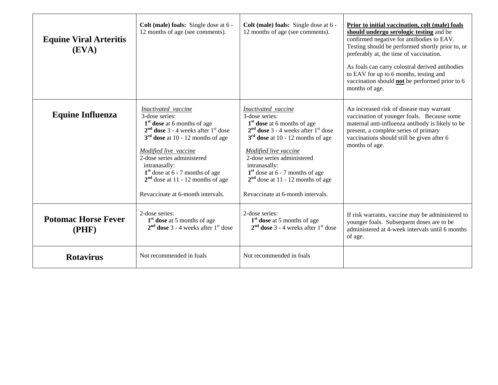| <b>Equine Viral Arteritis</b><br>(EVA) | Colt (male) foals: Single dose at 6 -<br>12 months of age (see comments).                                                                                                                                                                                                                                                                                   | Colt (male) foals: Single dose at 6 -<br>12 months of age (see comments).                                                                                                                                                                                                                                                                                   | Prior to initial vaccination, colt (male) foals<br>should undergo serologic testing and be<br>confirmed negative for antibodies to EAV.<br>Testing should be performed shortly prior to, or<br>preferably at, the time of vaccination.<br>As foals can carry colostral derived antibodies<br>to EAV for up to 6 months, testing and<br>vaccination should <b>not</b> be performed prior to 6<br>months of age. |
|----------------------------------------|-------------------------------------------------------------------------------------------------------------------------------------------------------------------------------------------------------------------------------------------------------------------------------------------------------------------------------------------------------------|-------------------------------------------------------------------------------------------------------------------------------------------------------------------------------------------------------------------------------------------------------------------------------------------------------------------------------------------------------------|----------------------------------------------------------------------------------------------------------------------------------------------------------------------------------------------------------------------------------------------------------------------------------------------------------------------------------------------------------------------------------------------------------------|
| <b>Equine Influenza</b>                | Inactivated vaccine<br>3-dose series:<br>1 <sup>st</sup> dose at 6 months of age<br>$2nd$ dose 3 - 4 weeks after $1st$ dose<br>$3rd$ dose at 10 - 12 months of age<br>Modified live vaccine<br>2-dose series administered<br>intranasally:<br>$1st$ dose at 6 - 7 months of age<br>$2nd$ dose at 11 - 12 months of age<br>Revaccinate at 6-month intervals. | Inactivated vaccine<br>3-dose series:<br>1 <sup>st</sup> dose at 6 months of age<br>$2nd$ dose 3 - 4 weeks after $1st$ dose<br>$3rd$ dose at 10 - 12 months of age<br>Modified live vaccine<br>2-dose series administered<br>intranasally:<br>$1st$ dose at 6 - 7 months of age<br>$2nd$ dose at 11 - 12 months of age<br>Revaccinate at 6-month intervals. | An increased risk of disease may warrant<br>vaccination of younger foals. Because some<br>maternal anti-influenza antibody is likely to be<br>present, a complete series of primary<br>vaccinations should still be given after 6<br>months of age.                                                                                                                                                            |
| <b>Potomac Horse Fever</b><br>(PHF)    | 2-dose series:<br>$1st$ dose at 5 months of age<br>$2nd$ dose 3 - 4 weeks after 1 <sup>st</sup> dose                                                                                                                                                                                                                                                        | 2-dose series:<br>1 <sup>st</sup> dose at 5 months of age<br>$2nd$ dose 3 - 4 weeks after $1st$ dose                                                                                                                                                                                                                                                        | If risk warrants, vaccine may be administered to<br>younger foals. Subsequent doses are to be<br>administered at 4-week intervals until 6 months<br>of age.                                                                                                                                                                                                                                                    |
| <b>Rotavirus</b>                       | Not recommended in foals                                                                                                                                                                                                                                                                                                                                    | Not recommended in foals                                                                                                                                                                                                                                                                                                                                    |                                                                                                                                                                                                                                                                                                                                                                                                                |